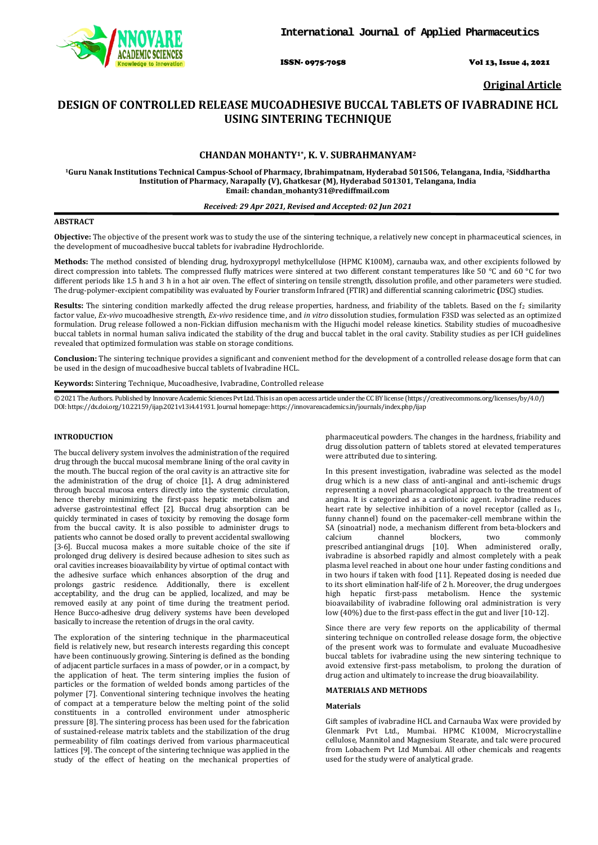

ISSN- 0975-7058 Vol 13, Issue 4, 2021

**Original Article**

# **DESIGN OF CONTROLLED RELEASE MUCOADHESIVE BUCCAL TABLETS OF IVABRADINE HCL USING SINTERING TECHNIQUE**

# **CHANDAN MOHANTY1\*, K. V. SUBRAHMANYAM2**

**1Guru Nanak Institutions Technical Campus-School of Pharmacy, Ibrahimpatnam, Hyderabad 501506, Telangana, India, 2Siddhartha Institution of Pharmacy, Narapally (V), Ghatkesar (M), Hyderabad 501301, Telangana, India Email[: chandan\\_mohanty31@rediffmail.com](mailto:chandan_mohanty31@rediffmail.com)**

# *Received: 29 Apr 2021, Revised and Accepted: 02 Jun 2021*

# **ABSTRACT**

**Objective:** The objective of the present work was to study the use of the sintering technique, a relatively new concept in pharmaceutical sciences, in the development of mucoadhesive buccal tablets for ivabradine Hydrochloride.

**Methods:** The method consisted of blending drug, hydroxypropyl methylcellulose (HPMC K100M), carnauba wax, and other excipients followed by direct compression into tablets. The compressed fluffy matrices were sintered at two different constant temperatures like 50 °C and 60 °C for two different periods like 1.5 h and 3 h in a hot air oven. The effect of sintering on tensile strength, dissolution profile, and other parameters were studied. The drug-polymer-excipient compatibility was evaluated by Fourier transform Infrared (FTIR) and differential scanning calorimetric **(**DSC) studies.

Results: The sintering condition markedly affected the drug release properties, hardness, and friability of the tablets. Based on the f<sub>2</sub> similarity factor value, *Ex-vivo* mucoadhesive strength, *Ex-vivo* residence time, and *in vitro* dissolution studies, formulation F3SD was selected as an optimized formulation. Drug release followed a non-Fickian diffusion mechanism with the Higuchi model release kinetics. Stability studies of mucoadhesive buccal tablets in normal human saliva indicated the stability of the drug and buccal tablet in the oral cavity. Stability studies as per ICH guidelines revealed that optimized formulation was stable on storage conditions.

**Conclusion:** The sintering technique provides a significant and convenient method for the development of a controlled release dosage form that can be used in the design of mucoadhesive buccal tablets of Ivabradine HCL.

**Keywords:** Sintering Technique, Mucoadhesive, Ivabradine, Controlled release

© 2021 The Authors. Published by Innovare Academic Sciences Pvt Ltd. This is an open access article under the CC BY license [\(https://creativecommons.org/licenses/by/4.0/\)](https://creativecommons.org/licenses/by/4.0/) DOI: https://dx.doi.org/10.22159/ijap.2021v13i4.41931. Journal homepage[: https://innovareacademics.in/journals/index.php/ijap](https://innovareacademics.in/journals/index.php/ijap)

# **INTRODUCTION**

The buccal delivery system involves the administration of the required drug through the buccal mucosal membrane lining of the oral cavity in the mouth. The buccal region of the oral cavity is an attractive site for the administration of the drug of choice [1]**.** A drug administered through buccal mucosa enters directly into the systemic circulation, hence thereby minimizing the first-pass hepatic metabolism and adverse gastrointestinal effect [2]. Buccal drug absorption can be quickly terminated in cases of toxicity by removing the dosage form from the buccal cavity. It is also possible to administer drugs to patients who cannot be dosed orally to prevent accidental swallowing [3-6]. Buccal mucosa makes a more suitable choice of the site if prolonged drug delivery is desired because adhesion to sites such as oral cavities increases bioavailability by virtue of optimal contact with the adhesive surface which enhances absorption of the drug and prolongs gastric residence. Additionally, there is excellent acceptability, and the drug can be applied, localized, and may be removed easily at any point of time during the treatment period. Hence Bucco-adhesive drug delivery systems have been developed basically to increase the retention of drugs in the oral cavity.

The exploration of the sintering technique in the pharmaceutical field is relatively new, but research interests regarding this concept have been continuously growing. Sintering is defined as the bonding of adjacent particle surfaces in a mass of powder, or in a compact, by the application of heat. The term sintering implies the fusion of particles or the formation of welded bonds among particles of the polymer [7]. Conventional sintering technique involves the heating of compact at a temperature below the melting point of the solid constituents in a controlled environment under atmospheric pressure [8]. The sintering process has been used for the fabrication of sustained-release matrix tablets and the stabilization of the drug permeability of film coatings derived from various pharmaceutical lattices [9]. The concept of the sintering technique was applied in the study of the effect of heating on the mechanical properties of pharmaceutical powders. The changes in the hardness, friability and drug dissolution pattern of tablets stored at elevated temperatures were attributed due to sintering.

In this present investigation, ivabradine was selected as the model drug which is a new class of anti-anginal and anti-ischemic drugs representing a novel pharmacological approach to the treatment of angina. It is categorized as a cardiotonic agent. ivabradine reduces heart rate by selective inhibition of a novel receptor (called as  $I_f$ , funny channel) found on the pacemaker-cell membrane within the SA (sinoatrial) node, a mechanism different from beta-blockers and calcium channel blockers, two commonly calcium channel blockers, two commonly prescribed antianginal drugs [10]. When administered orally, ivabradine is absorbed rapidly and almost completely with a peak plasma level reached in about one hour under fasting conditions and in two hours if taken with food [11]. Repeated dosing is needed due to its short elimination half-life of 2 h. Moreover, the drug undergoes high hepatic first-pass metabolism. Hence the systemic bioavailability of ivabradine following oral administration is very low (40%) due to the first-pass effect in the gut and liver [10-12].

Since there are very few reports on the applicability of thermal sintering technique on controlled release dosage form, the objective of the present work was to formulate and evaluate Mucoadhesive buccal tablets for ivabradine using the new sintering technique to avoid extensive first-pass metabolism, to prolong the duration of drug action and ultimately to increase the drug bioavailability.

# **MATERIALS AND METHODS**

### **Materials**

Gift samples of ivabradine HCL and Carnauba Wax were provided by Glenmark Pvt Ltd., Mumbai. HPMC K100M, Microcrystalline cellulose, Mannitol and Magnesium Stearate, and talc were procured from Lobachem Pvt Ltd Mumbai. All other chemicals and reagents used for the study were of analytical grade.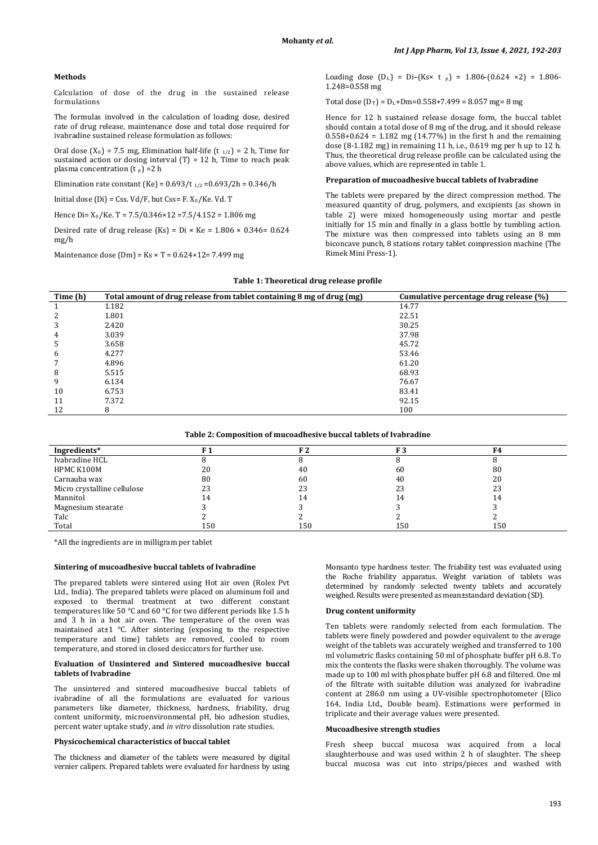### **Methods**

Calculation of dose of the drug in the sustained release formulations

The formulas involved in the calculation of loading dose, desired rate of drug release, maintenance dose and total dose required for ivabradine sustained release formulation as follows:

Oral dose  $(X_0) = 7.5$  mg, Elimination half-life  $(t_{1/2}) = 2$  h, Time for sustained action or dosing interval  $(T) = 12$  h, Time to reach peak plasma concentration  $(t_p)$  =2 h

Elimination rate constant (Ke) =  $0.693/t_{1/2}$  = $0.693/2$ h =  $0.346/h$ 

 $Initial dose (Di) = Lss. Vd/F$ , but  $Lss = F. X_0/Ke. Vd. T$ 

Hence Di= X 0 /Ke. T = 7.5/0.346×12 =7.5/4.152 = 1.806 mg

Desired rate of drug release (Ks) = Di × Ke =  $1.806 \times 0.346 = 0.624$ mg/h

Maintenance dose (Dm) =  $Ks \times T = 0.624 \times 12 = 7.499$  mg

Loading dose  $[D_L] = D - [Ks \times t_p] = 1.806 - (0.624 \times Z) = 1.806 -$ 1.248=0.558 mg

Total dose  $(D_T) = D_L + Dm = 0.558 + 7.499 = 8.057$  mg= 8 mg

Hence for 12 h sustained release dosage form, the buccal tablet should contain a total dose of 8 mg of the drug, and it should release 0.558+0.624 = 1.182 mg (14.77%) in the first h and the remaining dose (8-1.182 mg) in remaining 11 h, i.e., 0.619 mg per h up to 12 h. Thus, the theoretical drug release profile can be calculated using the above values, which are represented in table 1.

# **Preparation of mucoadhesive buccal tablets of Ivabradine**

The tablets were prepared by the direct compression method. The measured quantity of drug, polymers, and excipients (as shown in table 2) were mixed homogeneously using mortar and pestle initially for 15 min and finally in a glass bottle by tumbling action. The mixture was then compressed into tablets using an 8 mm biconcave punch, 8 stations rotary tablet compression machine (The Rimek Mini Press-1).

| Time (h) | Total amount of drug release from tablet containing 8 mg of drug (mg) | Cumulative percentage drug release (%) |
|----------|-----------------------------------------------------------------------|----------------------------------------|
|          | 1.182                                                                 | 14.77                                  |
|          | 1.801                                                                 | 22.51                                  |
| 3        | 2.420                                                                 | 30.25                                  |
| 4        | 3.039                                                                 | 37.98                                  |
| .5       | 3.658                                                                 | 45.72                                  |
| b        | 4.277                                                                 | 53.46                                  |
|          | 4.896                                                                 | 61.20                                  |
| 8        | 5.515                                                                 | 68.93                                  |
| 9        | 6.134                                                                 | 76.67                                  |
| 10       | 6.753                                                                 | 83.41                                  |
| 11       | 7.372                                                                 | 92.15                                  |
| 12       | 8                                                                     | 100                                    |

#### **Table 1: Theoretical drug release profile**

**Table 2: Composition of mucoadhesive buccal tablets of Ivabradine**

| Ingredients*                |     | F <sub>2</sub> | F 3 | F4  |
|-----------------------------|-----|----------------|-----|-----|
| Ivabradine HCL              |     |                |     |     |
| HPMC K100M                  | 20  | 40             | 60  | 80  |
| Carnauba wax                | 80  | 60             | 40  | 20  |
| Micro crystalline cellulose | 23  | 23             | 23  | 23  |
| Mannitol                    | 14  | 14             | 14  | 14  |
| Magnesium stearate          |     |                |     |     |
| Talc                        |     |                |     |     |
| Total                       | 150 | 150            | 150 | 150 |

\*All the ingredients are in milligram per tablet

## **Sintering of mucoadhesive buccal tablets of Ivabradine**

The prepared tablets were sintered using Hot air oven (Rolex Pvt Ltd., India). The prepared tablets were placed on aluminum foil and exposed to thermal treatment at two different constant temperatures like 50 °C and 60 °C for two different periods like 1.5 h and 3 h in a hot air oven. The temperature of the oven was maintained at±1 °C. After sintering (exposing to the respective temperature and time) tablets are removed, cooled to room temperature, and stored in closed desiccators for further use.

# **Evaluation of Unsintered and Sintered mucoadhesive buccal tablets of Ivabradine**

The unsintered and sintered mucoadhesive buccal tablets of ivabradine of all the formulations are evaluated for various parameters like diameter, thickness, hardness, friability, drug content uniformity, microenvironmental pH, bio adhesion studies, percent water uptake study, and *in vitro* dissolution rate studies.

# **Physicochemical characteristics of buccal tablet**

The thickness and diameter of the tablets were measured by digital vernier calipers. Prepared tablets were evaluated for hardness by using Monsanto type hardness tester. The friability test was evaluated using the Roche friability apparatus. Weight variation of tablets was determined by randomly selected twenty tablets and accurately weighed. Results were presented as mean±standard deviation (SD).

# **Drug content uniformity**

Ten tablets were randomly selected from each formulation. The tablets were finely powdered and powder equivalent to the average weight of the tablets was accurately weighed and transferred to 100 ml volumetric flasks containing 50 ml of phosphate buffer pH 6.8. To mix the contents the flasks were shaken thoroughly. The volume was made up to 100 ml with phosphate buffer pH 6.8 and filtered. One ml of the filtrate with suitable dilution was analyzed for ivabradine content at 286.0 nm using a UV-visible spectrophotometer (Elico 164, India Ltd., Double beam). Estimations were performed in triplicate and their average values were presented.

#### **Mucoadhesive strength studies**

Fresh sheep buccal mucosa was acquired from a local slaughterhouse and was used within 2 h of slaughter. The sheep buccal mucosa was cut into strips/pieces and washed with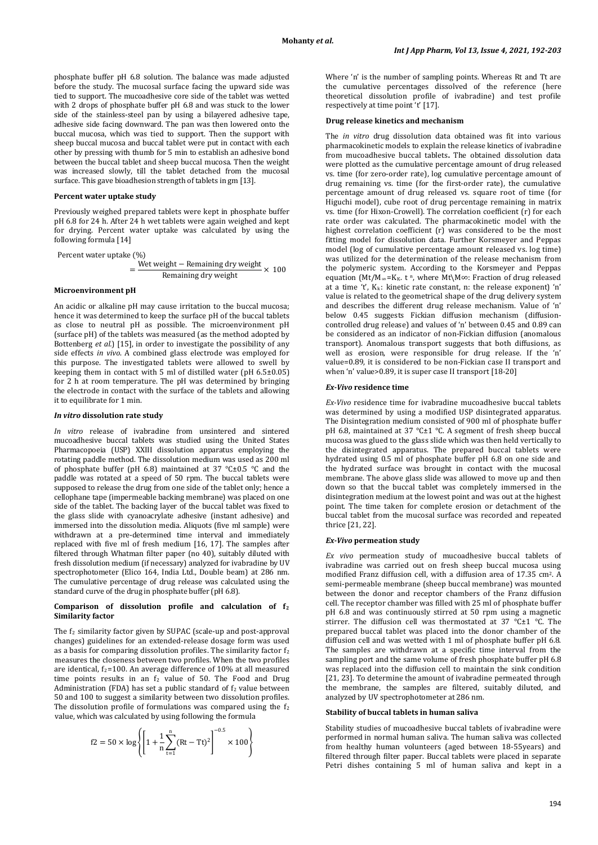phosphate buffer pH 6.8 solution. The balance was made adjusted before the study. The mucosal surface facing the upward side was tied to support. The mucoadhesive core side of the tablet was wetted with 2 drops of phosphate buffer pH 6.8 and was stuck to the lower side of the stainless-steel pan by using a bilayered adhesive tape, adhesive side facing downward. The pan was then lowered onto the buccal mucosa, which was tied to support. Then the support with sheep buccal mucosa and buccal tablet were put in contact with each other by pressing with thumb for 5 min to establish an adhesive bond between the buccal tablet and sheep buccal mucosa. Then the weight was increased slowly, till the tablet detached from the mucosal surface. This gave bioadhesion strength of tablets in gm [13].

### **Percent water uptake study**

Previously weighed prepared tablets were kept in phosphate buffer pH 6.8 for 24 h. After 24 h wet tablets were again weighed and kept for drying. Percent water uptake was calculated by using the following formula [14]

Percent water uptake (%)
$$
= \frac{\text{Wet weight} - \text{Remaining dry weight}}{\text{Remaining dry weight}} \times 100
$$

# **Microenvironment pH**

An acidic or alkaline pH may cause irritation to the buccal mucosa; hence it was determined to keep the surface pH of the buccal tablets as close to neutral pH as possible. The microenvironment pH (surface pH) of the tablets was measured (as the method adopted by Bottenberg *et al.*) [15], in order to investigate the possibility of any side effects *in vivo*. A combined glass electrode was employed for this purpose. The investigated tablets were allowed to swell by keeping them in contact with 5 ml of distilled water (pH 6.5±0.05) for 2 h at room temperature. The pH was determined by bringing the electrode in contact with the surface of the tablets and allowing it to equilibrate for 1 min.

#### *In vitro* **dissolution rate study**

*In vitro* release of ivabradine from unsintered and sintered mucoadhesive buccal tablets was studied using the United States Pharmacopoeia (USP) XXIII dissolution apparatus employing the rotating paddle method. The dissolution medium was used as 200 ml of phosphate buffer (pH 6.8) maintained at 37 °C±0.5 °C and the paddle was rotated at a speed of 50 rpm. The buccal tablets were supposed to release the drug from one side of the tablet only; hence a cellophane tape (impermeable backing membrane) was placed on one side of the tablet. The backing layer of the buccal tablet was fixed to the glass slide with cyanoacrylate adhesive (instant adhesive) and immersed into the dissolution media. Aliquots (five ml sample) were withdrawn at a pre-determined time interval and immediately replaced with five ml of fresh medium [16, 17]. The samples after filtered through Whatman filter paper (no 40), suitably diluted with fresh dissolution medium (if necessary) analyzed for ivabradine by UV spectrophotometer (Elico 164, India Ltd., Double beam) at 286 nm. The cumulative percentage of drug release was calculated using the standard curve of the drug in phosphate buffer (pH 6.8).

#### **Comparison of dissolution profile and calculation of f2 Similarity factor**

The f <sup>2</sup> similarity factor given by SUPAC (scale-up and post-approval changes) guidelines for an extended-release dosage form was used as a basis for comparing dissolution profiles. The similarity factor  $f_2$ measures the closeness between two profiles. When the two profiles are identical,  $f_2$ =100. An average difference of 10% at all measured time points results in an  $f_2$  value of 50. The Food and Drug Administration (FDA) has set a public standard of  $f_2$  value between 50 and 100 to suggest a similarity between two dissolution profiles. The dissolution profile of formulations was compared using the  $f_2$ value, which was calculated by using following the formula

$$
f2 = 50 \times \log \left\{ \left[ 1 + \frac{1}{n} \sum_{t=1}^{n} (Rt - Tt)^{2} \right]^{-0.5} \times 100 \right\}
$$

Where 'n' is the number of sampling points. Whereas Rt and Tt are the cumulative percentages dissolved of the reference (here theoretical dissolution profile of ivabradine) and test profile respectively at time point 't' [17].

### **Drug release kinetics and mechanism**

The *in vitro* drug dissolution data obtained was fit into various pharmacokinetic models to explain the release kinetics of ivabradine from mucoadhesive buccal tablets**.** The obtained dissolution data were plotted as the cumulative percentage amount of drug released vs. time (for zero-order rate), log cumulative percentage amount of drug remaining vs. time (for the first-order rate), the cumulative percentage amount of drug released vs. square root of time (for Higuchi model), cube root of drug percentage remaining in matrix vs. time (for Hixon-Crowell). The correlation coefficient (r) for each rate order was calculated. The pharmacokinetic model with the highest correlation coefficient (r) was considered to be the most fitting model for dissolution data. Further Korsmeyer and Peppas model (log of cumulative percentage amount released vs. log time) was utilized for the determination of the release mechanism from the polymeric system. According to the Korsmeyer and Peppas equation (Mt/M∞=K<sub>K</sub>. t <sup>n</sup>, where Mt\M∞: Fraction of drug released at a time 't', Kk: kinetic rate constant, n: the release exponent) 'n' value is related to the geometrical shape of the drug delivery system and describes the different drug release mechanism. Value of 'n' below 0.45 suggests Fickian diffusion mechanism (diffusioncontrolled drug release) and values of 'n' between 0.45 and 0.89 can be considered as an indicator of non-Fickian diffusion (anomalous transport). Anomalous transport suggests that both diffusions, as well as erosion, were responsible for drug release. If the 'n' value=0.89, it is considered to be non-Fickian case II transport and when 'n' value>0.89, it is super case II transport [18-20]

#### *Ex-Vivo* **residence time**

*Ex-Vivo* residence time for ivabradine mucoadhesive buccal tablets was determined by using a modified USP disintegrated apparatus. The Disintegration medium consisted of 900 ml of phosphate buffer pH 6.8, maintained at 37 °C±1 °C. A segment of fresh sheep buccal mucosa was glued to the glass slide which was then held vertically to the disintegrated apparatus. The prepared buccal tablets were hydrated using 0.5 ml of phosphate buffer pH 6.8 on one side and the hydrated surface was brought in contact with the mucosal membrane. The above glass slide was allowed to move up and then down so that the buccal tablet was completely immersed in the disintegration medium at the lowest point and was out at the highest point. The time taken for complete erosion or detachment of the buccal tablet from the mucosal surface was recorded and repeated thrice [21, 22].

#### *Ex-Vivo* **permeation study**

*Ex vivo* permeation study of mucoadhesive buccal tablets of ivabradine was carried out on fresh sheep buccal mucosa using modified Franz diffusion cell, with a diffusion area of 17.35 cm<sup>2</sup>. A semi-permeable membrane (sheep buccal membrane) was mounted between the donor and receptor chambers of the Franz diffusion cell. The receptor chamber was filled with 25 ml of phosphate buffer pH 6.8 and was continuously stirred at 50 rpm using a magnetic stirrer. The diffusion cell was thermostated at 37 °C±1 °C. The prepared buccal tablet was placed into the donor chamber of the diffusion cell and was wetted with 1 ml of phosphate buffer pH 6.8. The samples are withdrawn at a specific time interval from the sampling port and the same volume of fresh phosphate buffer pH 6.8 was replaced into the diffusion cell to maintain the sink condition [21, 23]. To determine the amount of ivabradine permeated through the membrane, the samples are filtered, suitably diluted, and analyzed by UV spectrophotometer at 286 nm.

#### **Stability of buccal tablets in human saliva**

Stability studies of mucoadhesive buccal tablets of ivabradine were performed in normal human saliva. The human saliva was collected from healthy human volunteers (aged between 18-55years) and filtered through filter paper. Buccal tablets were placed in separate Petri dishes containing 5 ml of human saliva and kept in a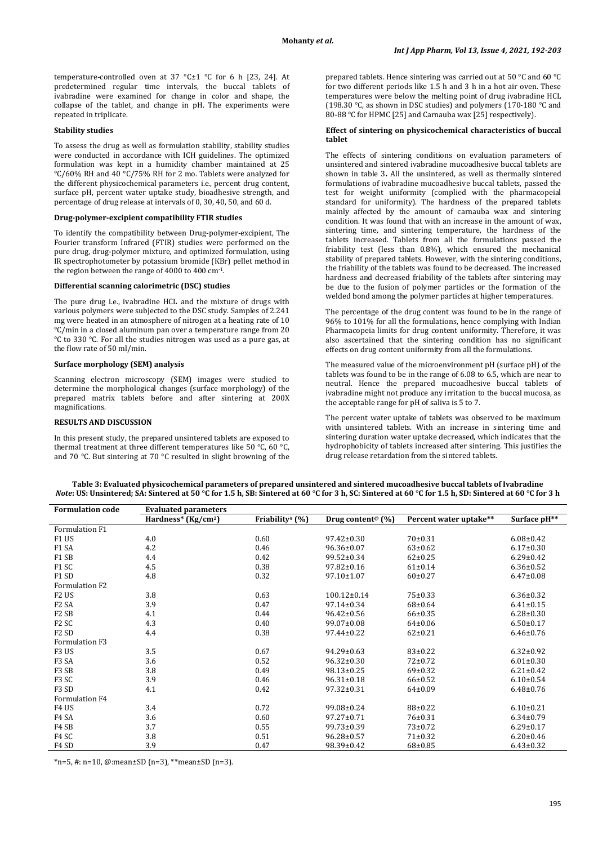temperature-controlled oven at 37 °C±1 °C for 6 h [23, 24]. At predetermined regular time intervals, the buccal tablets of ivabradine were examined for change in color and shape, the collapse of the tablet, and change in pH. The experiments were repeated in triplicate.

# **Stability studies**

To assess the drug as well as formulation stability, stability studies were conducted in accordance with ICH guidelines. The optimized formulation was kept in a humidity chamber maintained at 25 °C/60% RH and 40 °C/75% RH for 2 mo. Tablets were analyzed for the different physicochemical parameters i.e., percent drug content, surface pH, percent water uptake study, bioadhesive strength, and percentage of drug release at intervals of 0, 30, 40, 50, and 60 d.

### **Drug-polymer-excipient compatibility FTIR studies**

To identify the compatibility between Drug-polymer-excipient, The Fourier transform Infrared (FTIR) studies were performed on the pure drug, drug-polymer mixture, and optimized formulation, using IR spectrophotometer by potassium bromide (KBr) pellet method in the region between the range of 4000 to 400 cm-1 .

#### **Differential scanning calorimetric (DSC) studies**

The pure drug i.e., ivabradine HCL and the mixture of drugs with various polymers were subjected to the DSC study. Samples of 2.241 mg were heated in an atmosphere of nitrogen at a heating rate of 10 °C/min in a closed aluminum pan over a temperature range from 20 °C to 330 °C. For all the studies nitrogen was used as a pure gas, at the flow rate of 50 ml/min.

# **Surface morphology (SEM) analysis**

Scanning electron microscopy (SEM) images were studied to determine the morphological changes (surface morphology) of the prepared matrix tablets before and after sintering at 200X magnifications.

# **RESULTS AND DISCUSSION**

In this present study, the prepared unsintered tablets are exposed to thermal treatment at three different temperatures like 50 °C, 60 °C, and 70 °C. But sintering at 70 °C resulted in slight browning of the

prepared tablets. Hence sintering was carried out at 50 °C and 60 °C for two different periods like 1.5 h and 3 h in a hot air oven. These temperatures were below the melting point of drug ivabradine HCL (198.30 °C, as shown in DSC studies) and polymers (170-180 °C and 80-88 °C for HPMC [25] and Carnauba wax [25] respectively).

# **Effect of sintering on physicochemical characteristics of buccal tablet**

The effects of sintering conditions on evaluation parameters of unsintered and sintered ivabradine mucoadhesive buccal tablets are shown in table 3**.** All the unsintered, as well as thermally sintered formulations of ivabradine mucoadhesive buccal tablets, passed the test for weight uniformity (complied with the pharmacopeial standard for uniformity). The hardness of the prepared tablets mainly affected by the amount of carnauba wax and sintering condition. It was found that with an increase in the amount of wax, sintering time, and sintering temperature, the hardness of the tablets increased. Tablets from all the formulations passed the friability test (less than 0.8%), which ensured the mechanical stability of prepared tablets. However, with the sintering conditions, the friability of the tablets was found to be decreased. The increased hardness and decreased friability of the tablets after sintering may be due to the fusion of polymer particles or the formation of the welded bond among the polymer particles at higher temperatures.

The percentage of the drug content was found to be in the range of 96% to 101% for all the formulations, hence complying with Indian Pharmacopeia limits for drug content uniformity. Therefore, it was also ascertained that the sintering condition has no significant effects on drug content uniformity from all the formulations.

The measured value of the microenvironment pH (surface pH) of the tablets was found to be in the range of 6.08 to 6.5, which are near to neutral. Hence the prepared mucoadhesive buccal tablets of ivabradine might not produce any irritation to the buccal mucosa, as the acceptable range for pH of saliva is 5 to 7.

The percent water uptake of tablets was observed to be maximum with unsintered tablets. With an increase in sintering time and sintering duration water uptake decreased, which indicates that the hydrophobicity of tablets increased after sintering. This justifies the drug release retardation from the sintered tablets.

| Table 3: Evaluated physicochemical parameters of prepared unsintered and sintered mucoadhesive buccal tablets of Ivabradine                                  |  |  |
|--------------------------------------------------------------------------------------------------------------------------------------------------------------|--|--|
| <i>Note</i> : US: Unsintered: SA: Sintered at 50 °C for 1.5 h. SB: Sintered at 60 °C for 3 h. SC: Sintered at 60 °C for 1.5 h. SD: Sintered at 60 °C for 3 h |  |  |

| <b>Formulation code</b>       | <b>Evaluated parameters</b>     |                 |                                   |                        |                 |
|-------------------------------|---------------------------------|-----------------|-----------------------------------|------------------------|-----------------|
|                               | Hardness* (Kg/cm <sup>2</sup> ) | Friability# (%) | Drug content <sup>®</sup> $(\% )$ | Percent water uptake** | Surface pH**    |
| Formulation F1                |                                 |                 |                                   |                        |                 |
| F1 US                         | 4.0                             | 0.60            | $97.42 \pm 0.30$                  | 70±0.31                | $6.08 \pm 0.42$ |
| F1 SA                         | 4.2                             | 0.46            | $96.36 \pm 0.07$                  | $63 \pm 0.62$          | $6.17 \pm 0.30$ |
| F1 SB                         | 4.4                             | 0.42            | $99.52 \pm 0.34$                  | $62 \pm 0.25$          | $6.29 \pm 0.42$ |
| F1 SC                         | 4.5                             | 0.38            | $97.82 \pm 0.16$                  | $61 \pm 0.14$          | $6.36 \pm 0.52$ |
| F1 SD                         | 4.8                             | 0.32            | $97.10 \pm 1.07$                  | $60 \pm 0.27$          | $6.47 \pm 0.08$ |
| Formulation F2                |                                 |                 |                                   |                        |                 |
| F <sub>2</sub> US             | 3.8                             | 0.63            | $100.12 \pm 0.14$                 | $75 \pm 0.33$          | $6.36 \pm 0.32$ |
| F <sub>2</sub> SA             | 3.9                             | 0.47            | $97.14 \pm 0.34$                  | $68 \pm 0.64$          | $6.41 \pm 0.15$ |
| F <sub>2</sub> S <sub>B</sub> | 4.1                             | 0.44            | $96.42 \pm 0.56$                  | $66 \pm 0.35$          | $6.28 \pm 0.30$ |
| F <sub>2</sub> SC             | 4.3                             | 0.40            | $99.07 \pm 0.08$                  | $64 \pm 0.06$          | $6.50 \pm 0.17$ |
| F <sub>2</sub> SD             | 4.4                             | 0.38            | $97.44 \pm 0.22$                  | $62 \pm 0.21$          | $6.46 \pm 0.76$ |
| Formulation F3                |                                 |                 |                                   |                        |                 |
| F <sub>3</sub> US             | 3.5                             | 0.67            | $94.29 \pm 0.63$                  | $83 \pm 0.22$          | $6.32 \pm 0.92$ |
| F <sub>3</sub> SA             | 3.6                             | 0.52            | $96.32 \pm 0.30$                  | $72 \pm 0.72$          | $6.01 \pm 0.30$ |
| F3 SB                         | 3.8                             | 0.49            | $98.13 \pm 0.25$                  | $69 \pm 0.32$          | $6.21 \pm 0.42$ |
| F <sub>3</sub> SC             | 3.9                             | 0.46            | $96.31 \pm 0.18$                  | $66 \pm 0.52$          | $6.10 \pm 0.54$ |
| F <sub>3</sub> SD             | 4.1                             | 0.42            | 97.32±0.31                        | $64 \pm 0.09$          | $6.48 \pm 0.76$ |
| Formulation F4                |                                 |                 |                                   |                        |                 |
| F <sub>4</sub> US             | 3.4                             | 0.72            | 99.08±0.24                        | $88 + 0.22$            | $6.10 \pm 0.21$ |
| F4 SA                         | 3.6                             | 0.60            | $97.27 \pm 0.71$                  | 76±0.31                | $6.34 \pm 0.79$ |
| F <sub>4</sub> SB             | 3.7                             | 0.55            | $99.73 \pm 0.39$                  | $73+0.72$              | $6.29 \pm 0.17$ |
| F4 SC                         | 3.8                             | 0.51            | $96.28 \pm 0.57$                  | $71 \pm 0.32$          | $6.20 \pm 0.46$ |
| F <sub>4</sub> SD             | 3.9                             | 0.47            | 98.39±0.42                        | $68 + 0.85$            | $6.43 \pm 0.32$ |

\*n=5, #: n=10, @:mean±SD (n=3), \*\*mean±SD (n=3).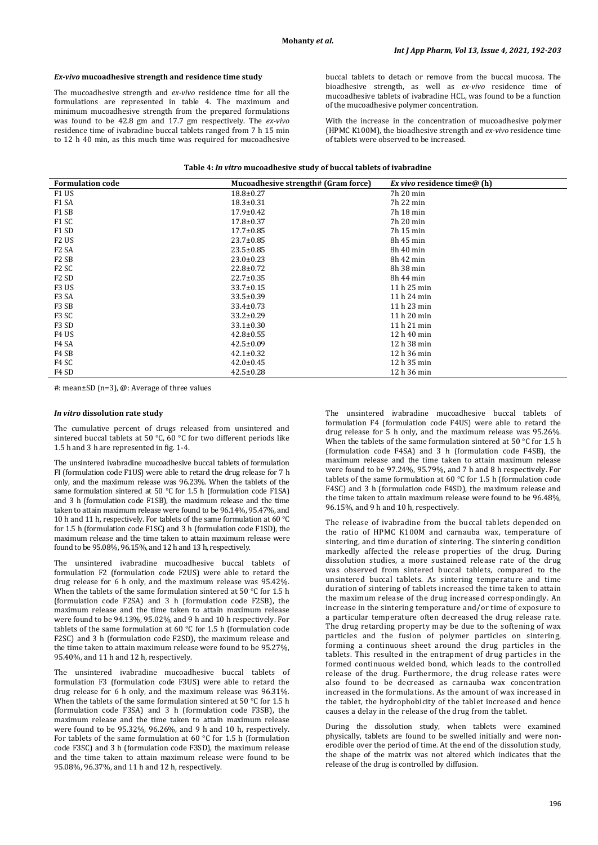# *Ex-vivo* **mucoadhesive strength and residence time study**

The mucoadhesive strength and *ex-vivo* residence time for all the formulations are represented in table 4. The maximum and minimum mucoadhesive strength from the prepared formulations was found to be 42.8 gm and 17.7 gm respectively. The *ex-vivo*  residence time of ivabradine buccal tablets ranged from 7 h 15 min to 12 h 40 min, as this much time was required for mucoadhesive

buccal tablets to detach or remove from the buccal mucosa. The bioadhesive strength, as well as *ex-vivo* residence time of mucoadhesive tablets of ivabradine HCL, was found to be a function of the mucoadhesive polymer concentration.

With the increase in the concentration of mucoadhesive polymer (HPMC K100M), the bioadhesive strength and *ex-vivo* residence time of tablets were observed to be increased.

| <b>Formulation code</b>       | Mucoadhesive strength# (Gram force) | <i>Ex vivo</i> residence time@ (h) |
|-------------------------------|-------------------------------------|------------------------------------|
| F1 US                         | $18.8 \pm 0.27$                     | 7h 20 min                          |
| F <sub>1</sub> SA             | $18.3 \pm 0.31$                     | 7h 22 min                          |
| F <sub>1</sub> S <sub>B</sub> | $17.9 \pm 0.42$                     | 7h 18 min                          |
| F1 SC                         | $17.8 \pm 0.37$                     | 7h 20 min                          |
| F <sub>1</sub> S <sub>D</sub> | $17.7 \pm 0.85$                     | 7h 15 min                          |
| F <sub>2</sub> US             | $23.7 \pm 0.85$                     | 8h 45 min                          |
| F <sub>2</sub> SA             | $23.5 \pm 0.85$                     | 8h 40 min                          |
| F <sub>2</sub> S <sub>B</sub> | $23.0 \pm 0.23$                     | 8h 42 min                          |
| F <sub>2</sub> SC             | $22.8 \pm 0.72$                     | 8h 38 min                          |
| F <sub>2</sub> S <sub>D</sub> | $22.7 \pm 0.35$                     | 8h 44 min                          |
| F3 US                         | $33.7 \pm 0.15$                     | 11 h 25 min                        |
| F <sub>3</sub> S <sub>A</sub> | 33.5±0.39                           | $11h24$ min                        |
| F <sub>3</sub> S <sub>B</sub> | $33.4 \pm 0.73$                     | 11 h 23 min                        |
| F3 SC                         | $33.2 \pm 0.29$                     | 11 h 20 min                        |
| F3 SD                         | $33.1 \pm 0.30$                     | 11h21min                           |
| F <sub>4</sub> US             | $42.8 \pm 0.55$                     | 12 h 40 min                        |
| F <sub>4</sub> SA             | $42.5 \pm 0.09$                     | 12 h 38 min                        |
| F <sub>4</sub> S <sub>B</sub> | $42.1 \pm 0.32$                     | 12 h 36 min                        |
| F4 SC                         | $42.0 \pm 0.45$                     | 12 h 35 min                        |
| F <sub>4</sub> SD             | $42.5 \pm 0.28$                     | 12 h 36 min                        |

#: mean±SD (n=3), @: Average of three values

#### *In vitro* **dissolution rate study**

The cumulative percent of drugs released from unsintered and sintered buccal tablets at 50 °C,  $\overline{60}$  °C for two different periods like 1.5 h and 3 h are represented in fig. 1-4.

The unsintered ivabradine mucoadhesive buccal tablets of formulation FI (formulation code F1US) were able to retard the drug release for 7 h only, and the maximum release was 96.23%. When the tablets of the same formulation sintered at 50  $\degree$ C for 1.5 h (formulation code F1SA) and 3 h (formulation code F1SB), the maximum release and the time taken to attain maximum release were found to be 96.14%, 95.47%, and 10 h and 11 h, respectively. For tablets of the same formulation at 60 °C for 1.5 h (formulation code F1SC) and 3 h (formulation code F1SD), the maximum release and the time taken to attain maximum release were found to be 95.08%, 96.15%, and 12 h and 13 h, respectively.

The unsintered ivabradine mucoadhesive buccal tablets of formulation F2 (formulation code F2US) were able to retard the drug release for 6 h only, and the maximum release was 95.42%. When the tablets of the same formulation sintered at 50 °C for 1.5 h (formulation code F2SA) and 3 h (formulation code F2SB), the maximum release and the time taken to attain maximum release were found to be 94.13%, 95.02%, and 9 h and 10 h respectively. For tablets of the same formulation at 60 °C for 1.5 h (formulation code F2SC) and 3 h (formulation code F2SD), the maximum release and the time taken to attain maximum release were found to be 95.27%, 95.40%, and 11 h and 12 h, respectively.

The unsintered ivabradine mucoadhesive buccal tablets of formulation F3 (formulation code F3US) were able to retard the drug release for 6 h only, and the maximum release was 96.31%. When the tablets of the same formulation sintered at 50 °C for 1.5 h (formulation code F3SA) and 3 h (formulation code F3SB), the maximum release and the time taken to attain maximum release were found to be 95.32%, 96.26%, and 9 h and 10 h, respectively. For tablets of the same formulation at 60 °C for 1.5 h (formulation code F3SC) and 3 h (formulation code F3SD), the maximum release and the time taken to attain maximum release were found to be 95.08%, 96.37%, and 11 h and 12 h, respectively.

The unsintered ivabradine mucoadhesive buccal tablets of formulation F4 (formulation code F4US) were able to retard the drug release for 5 h only, and the maximum release was 95.26%. When the tablets of the same formulation sintered at 50 °C for 1.5 h (formulation code F4SA) and 3 h (formulation code F4SB), the maximum release and the time taken to attain maximum release were found to be 97.24%, 95.79%, and 7 h and 8 h respectively. For tablets of the same formulation at 60 °C for 1.5 h (formulation code F4SC) and 3 h (formulation code F4SD), the maximum release and the time taken to attain maximum release were found to be 96.48%, 96.15%, and 9 h and 10 h, respectively.

The release of ivabradine from the buccal tablets depended on the ratio of HPMC K100M and carnauba wax, temperature of sintering, and time duration of sintering. The sintering condition markedly affected the release properties of the drug. During dissolution studies, a more sustained release rate of the drug was observed from sintered buccal tablets, compared to the unsintered buccal tablets. As sintering temperature and time duration of sintering of tablets increased the time taken to attain the maximum release of the drug increased correspondingly. An increase in the sintering temperature and/or time of exposure to a particular temperature often decreased the drug release rate. The drug retarding property may be due to the softening of wax particles and the fusion of polymer particles on sintering, forming a continuous sheet around the drug particles in the tablets. This resulted in the entrapment of drug particles in the formed continuous welded bond, which leads to the controlled release of the drug. Furthermore, the drug release rates were also found to be decreased as carnauba wax concentration increased in the formulations. As the amount of wax increased in the tablet, the hydrophobicity of the tablet increased and hence causes a delay in the release of the drug from the tablet.

During the dissolution study, when tablets were examined physically, tablets are found to be swelled initially and were nonerodible over the period of time. At the end of the dissolution study, the shape of the matrix was not altered which indicates that the release of the drug is controlled by diffusion.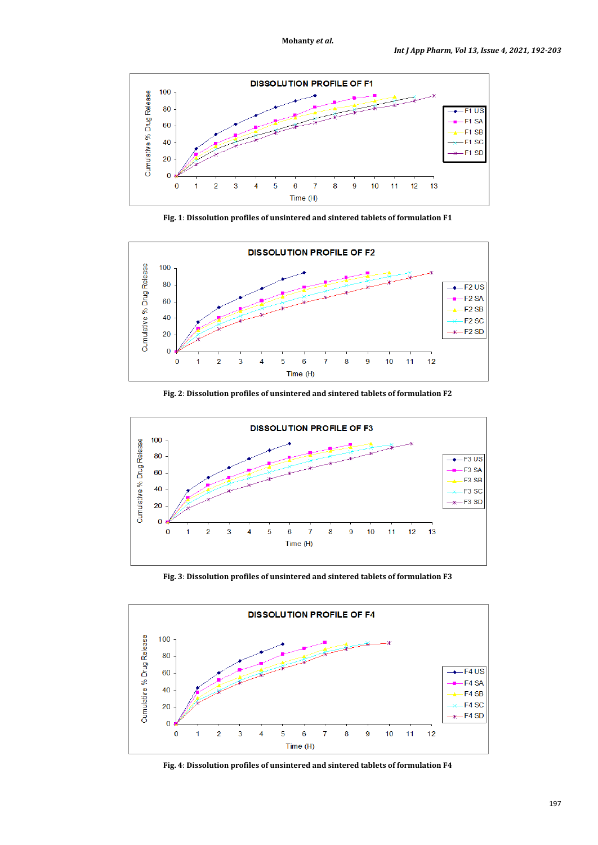

**Fig. 1**: **Dissolution profiles of unsintered and sintered tablets of formulation F1**



**Fig. 2**: **Dissolution profiles of unsintered and sintered tablets of formulation F2**



**Fig. 3**: **Dissolution profiles of unsintered and sintered tablets of formulation F3**



**Fig. 4**: **Dissolution profiles of unsintered and sintered tablets of formulation F4**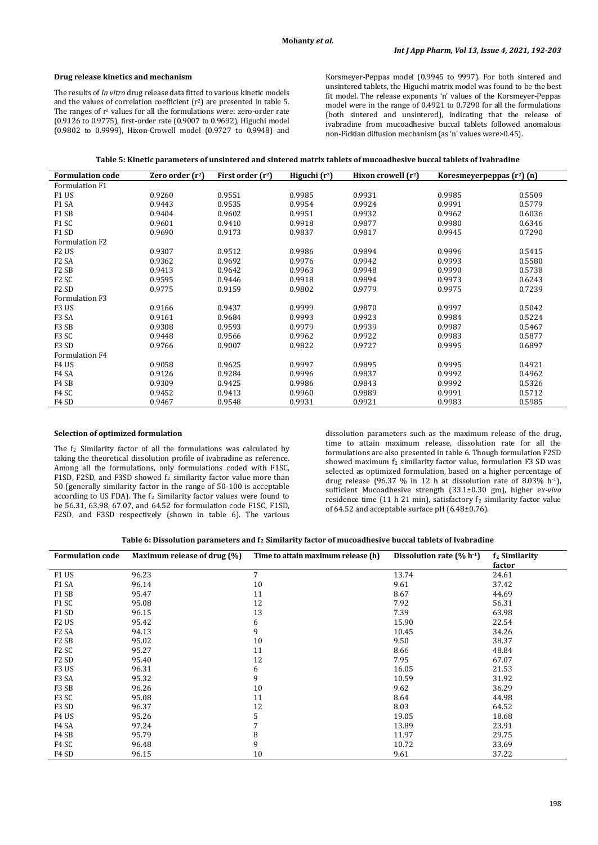# **Drug release kinetics and mechanism**

The results of *In vitro* drug release data fitted to various kinetic models and the values of correlation coefficient (r2) are presented in table 5. The ranges of  $r^2$  values for all the formulations were: zero-order rate (0.9126 to 0.9775), first-order rate (0.9007 to 0.9692), Higuchi model (0.9802 to 0.9999), Hixon-Crowell model (0.9727 to 0.9948) and Korsmeyer-Peppas model (0.9945 to 9997). For both sintered and unsintered tablets, the Higuchi matrix model was found to be the best fit model. The release exponents 'n' values of the Korsmeyer-Peppas model were in the range of 0.4921 to 0.7290 for all the formulations (both sintered and unsintered), indicating that the release of ivabradine from mucoadhesive buccal tablets followed anomalous non-Fickian diffusion mechanism (as 'n' values were>0.45).

| <b>Formulation code</b>       | Zero order $(r^2)$ | First order $(r^2)$ | Higuchi $(r^2)$ | Hixon crowell $(r^2)$ | Koresmeyerpeppas $(r^2)$ (n) |        |
|-------------------------------|--------------------|---------------------|-----------------|-----------------------|------------------------------|--------|
| Formulation F1                |                    |                     |                 |                       |                              |        |
| F1 US                         | 0.9260             | 0.9551              | 0.9985          | 0.9931                | 0.9985                       | 0.5509 |
| F1 SA                         | 0.9443             | 0.9535              | 0.9954          | 0.9924                | 0.9991                       | 0.5779 |
| F1 SB                         | 0.9404             | 0.9602              | 0.9951          | 0.9932                | 0.9962                       | 0.6036 |
| F1 SC                         | 0.9601             | 0.9410              | 0.9918          | 0.9877                | 0.9980                       | 0.6346 |
| F1 SD                         | 0.9690             | 0.9173              | 0.9837          | 0.9817                | 0.9945                       | 0.7290 |
| <b>Formulation F2</b>         |                    |                     |                 |                       |                              |        |
| F <sub>2</sub> US             | 0.9307             | 0.9512              | 0.9986          | 0.9894                | 0.9996                       | 0.5415 |
| F <sub>2</sub> SA             | 0.9362             | 0.9692              | 0.9976          | 0.9942                | 0.9993                       | 0.5580 |
| F <sub>2</sub> SB             | 0.9413             | 0.9642              | 0.9963          | 0.9948                | 0.9990                       | 0.5738 |
| F <sub>2</sub> SC             | 0.9595             | 0.9446              | 0.9918          | 0.9894                | 0.9973                       | 0.6243 |
| F <sub>2</sub> S <sub>D</sub> | 0.9775             | 0.9159              | 0.9802          | 0.9779                | 0.9975                       | 0.7239 |
| Formulation F3                |                    |                     |                 |                       |                              |        |
| F3 US                         | 0.9166             | 0.9437              | 0.9999          | 0.9870                | 0.9997                       | 0.5042 |
| F <sub>3</sub> SA             | 0.9161             | 0.9684              | 0.9993          | 0.9923                | 0.9984                       | 0.5224 |
| F3 SB                         | 0.9308             | 0.9593              | 0.9979          | 0.9939                | 0.9987                       | 0.5467 |
| F <sub>3</sub> SC             | 0.9448             | 0.9566              | 0.9962          | 0.9922                | 0.9983                       | 0.5877 |
| F <sub>3</sub> SD             | 0.9766             | 0.9007              | 0.9822          | 0.9727                | 0.9995                       | 0.6897 |
| Formulation F4                |                    |                     |                 |                       |                              |        |
| F4 US                         | 0.9058             | 0.9625              | 0.9997          | 0.9895                | 0.9995                       | 0.4921 |
| F <sub>4</sub> SA             | 0.9126             | 0.9284              | 0.9996          | 0.9837                | 0.9992                       | 0.4962 |
| F <sub>4</sub> S <sub>B</sub> | 0.9309             | 0.9425              | 0.9986          | 0.9843                | 0.9992                       | 0.5326 |
| F4 SC                         | 0.9452             | 0.9413              | 0.9960          | 0.9889                | 0.9991                       | 0.5712 |
| F <sub>4</sub> SD             | 0.9467             | 0.9548              | 0.9931          | 0.9921                | 0.9983                       | 0.5985 |

# **Selection of optimized formulation**

The  $f_2$  Similarity factor of all the formulations was calculated by taking the theoretical dissolution profile of ivabradine as reference. Among all the formulations, only formulations coded with F1SC, F1SD, F2SD, and F3SD showed  $f_2$  similarity factor value more than 50 (generally similarity factor in the range of 50-100 is acceptable according to US FDA). The  $f_2$  Similarity factor values were found to be 56.31, 63.98, 67.07, and 64.52 for formulation code F1SC, F1SD, F2SD, and F3SD respectively (shown in table 6). The various

dissolution parameters such as the maximum release of the drug, time to attain maximum release, dissolution rate for all the formulations are also presented in table 6. Though formulation F2SD showed maximum  $f_2$  similarity factor value, formulation F3 SD was selected as optimized formulation, based on a higher percentage of drug release (96.37 % in 12 h at dissolution rate of 8.03% h-1), sufficient Mucoadhesive strength (33.1±0.30 gm), higher e*x-vivo*  residence time (11 h 21 min), satisfactory  $f_2$  similarity factor value of 64.52 and acceptable surface pH (6.48±0.76).

|  | Table 6: Dissolution parameters and f <sub>2</sub> Similarity factor of mucoadhesive buccal tablets of Ivabradine |
|--|-------------------------------------------------------------------------------------------------------------------|
|--|-------------------------------------------------------------------------------------------------------------------|

| <b>Formulation code</b>       | Maximum release of drug (%) | Time to attain maximum release (h) | Dissolution rate $(\% h^{1})$ | f <sub>2</sub> Similarity<br>factor |
|-------------------------------|-----------------------------|------------------------------------|-------------------------------|-------------------------------------|
| F1 US                         | 96.23                       | $\overline{7}$                     | 13.74                         | 24.61                               |
| F1 SA                         | 96.14                       | 10                                 | 9.61                          | 37.42                               |
| F1 SB                         | 95.47                       | 11                                 | 8.67                          | 44.69                               |
| F1 SC                         | 95.08                       | 12                                 | 7.92                          | 56.31                               |
| F1 SD                         | 96.15                       | 13                                 | 7.39                          | 63.98                               |
| F <sub>2</sub> US             | 95.42                       | 6                                  | 15.90                         | 22.54                               |
| F <sub>2</sub> SA             | 94.13                       | 9                                  | 10.45                         | 34.26                               |
| F <sub>2</sub> S <sub>B</sub> | 95.02                       | 10                                 | 9.50                          | 38.37                               |
| F <sub>2</sub> SC             | 95.27                       | 11                                 | 8.66                          | 48.84                               |
| F <sub>2</sub> S <sub>D</sub> | 95.40                       | 12                                 | 7.95                          | 67.07                               |
| F <sub>3</sub> US             | 96.31                       | 6                                  | 16.05                         | 21.53                               |
| F <sub>3</sub> SA             | 95.32                       | 9                                  | 10.59                         | 31.92                               |
| F3 SB                         | 96.26                       | 10                                 | 9.62                          | 36.29                               |
| F3 SC                         | 95.08                       | 11                                 | 8.64                          | 44.98                               |
| F <sub>3</sub> SD             | 96.37                       | 12                                 | 8.03                          | 64.52                               |
| F <sub>4</sub> US             | 95.26                       | 5                                  | 19.05                         | 18.68                               |
| F <sub>4</sub> SA             | 97.24                       |                                    | 13.89                         | 23.91                               |
| F <sub>4</sub> S <sub>B</sub> | 95.79                       | 8                                  | 11.97                         | 29.75                               |
| F4 SC                         | 96.48                       | 9                                  | 10.72                         | 33.69                               |
| F4 SD                         | 96.15                       | 10                                 | 9.61                          | 37.22                               |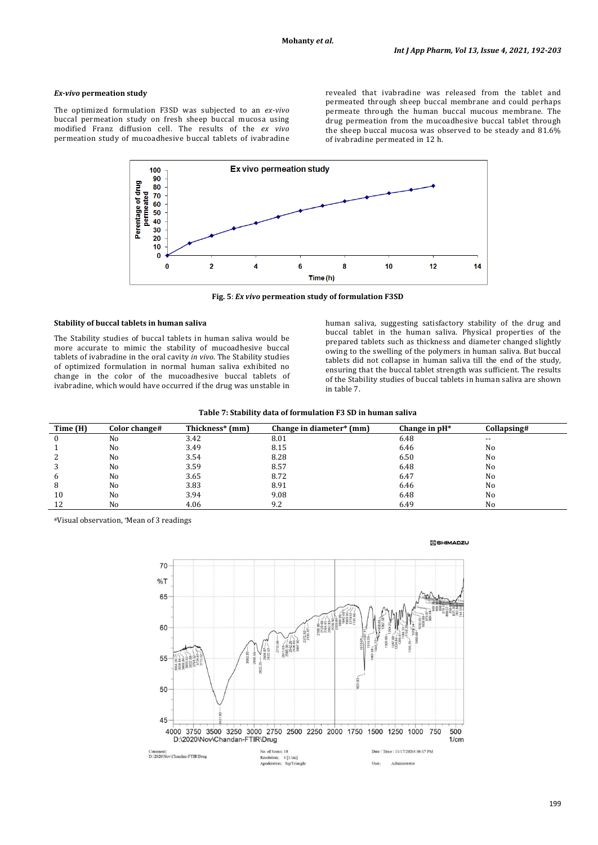# *Ex-vivo* **permeation study**

The optimized formulation F3SD was subjected to an *ex-vivo* buccal permeation study on fresh sheep buccal mucosa using modified Franz diffusion cell. The results of the *ex vivo* permeation study of mucoadhesive buccal tablets of ivabradine revealed that ivabradine was released from the tablet and permeated through sheep buccal membrane and could perhaps permeate through the human buccal mucous membrane. The drug permeation from the mucoadhesive buccal tablet through the sheep buccal mucosa was observed to be steady and 81.6% of ivabradine permeated in 12 h.



**Fig. 5**: *Ex vivo* **permeation study of formulation F3SD**

# **Stability of buccal tablets in human saliva**

The Stability studies of buccal tablets in human saliva would be more accurate to mimic the stability of mucoadhesive buccal tablets of ivabradine in the oral cavity *in vivo*. The Stability studies of optimized formulation in normal human saliva exhibited no change in the color of the mucoadhesive buccal tablets of ivabradine, which would have occurred if the drug was unstable in

human saliva, suggesting satisfactory stability of the drug and buccal tablet in the human saliva. Physical properties of the prepared tablets such as thickness and diameter changed slightly owing to the swelling of the polymers in human saliva. But buccal tablets did not collapse in human saliva till the end of the study, ensuring that the buccal tablet strength was sufficient. The results of the Stability studies of buccal tablets in human saliva are shown in table 7.

|  | Table 7: Stability data of formulation F3 SD in human saliva |  |  |  |  |  |
|--|--------------------------------------------------------------|--|--|--|--|--|
|--|--------------------------------------------------------------|--|--|--|--|--|

| Time (H) | Color change# | Thickness* (mm) | Change in diameter* (mm) | Change in $pH^*$ | Collapsing# |
|----------|---------------|-----------------|--------------------------|------------------|-------------|
|          | No            | 3.42            | 8.01                     | 6.48             | $- -$       |
|          | No            | 3.49            | 8.15                     | 6.46             | No          |
|          | No            | 3.54            | 8.28                     | 6.50             | No          |
|          | No            | 3.59            | 8.57                     | 6.48             | No          |
|          | No            | 3.65            | 8.72                     | 6.47             | No          |
|          | No            | 3.83            | 8.91                     | 6.46             | No          |
| 10       | No            | 3.94            | 9.08                     | 6.48             | No          |
| 12       | No            | 4.06            | 9.2                      | 6.49             | No          |

#Visual observation, \*Mean of 3 readings



#### **M** SHIMADZU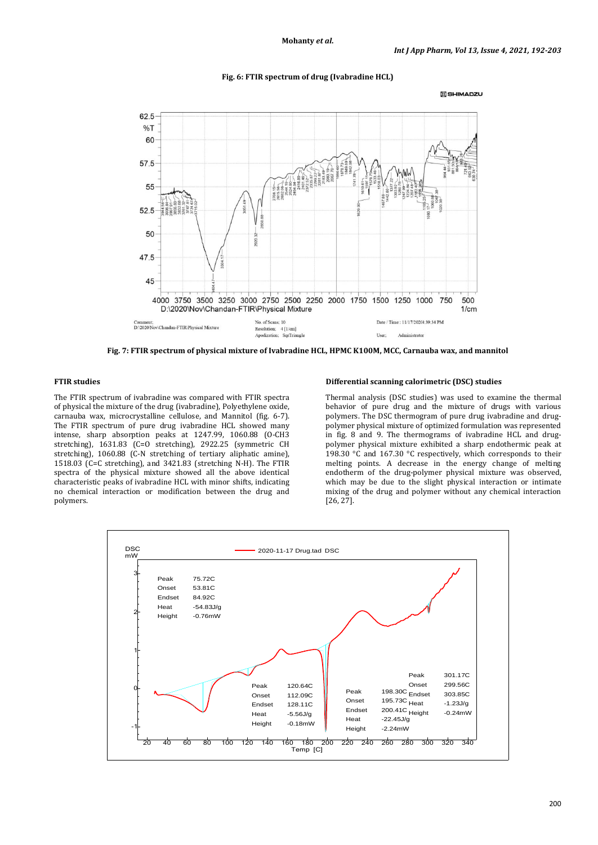

### **Fig. 6: FTIR spectrum of drug (Ivabradine HCL)**

**Fig. 7: FTIR spectrum of physical mixture of Ivabradine HCL, HPMC K100M, MCC, Carnauba wax, and mannitol**

# **FTIR studies**

The FTIR spectrum of ivabradine was compared with FTIR spectra of physical the mixture of the drug (ivabradine), Polyethylene oxide, carnauba wax, microcrystalline cellulose, and Mannitol (fig. 6-7). The FTIR spectrum of pure drug ivabradine HCL showed many intense, sharp absorption peaks at 1247.99, 1060.88 (O-CH3 stretching), 1631.83 (C=O stretching), 2922.25 (symmetric CH stretching), 1060.88 (C-N stretching of tertiary aliphatic amine), 1518.03 (C=C stretching), and 3421.83 (stretching N-H). The FTIR spectra of the physical mixture showed all the above identical characteristic peaks of ivabradine HCL with minor shifts, indicating no chemical interaction or modification between the drug and polymers.

### **Differential scanning calorimetric (DSC) studies**

Thermal analysis (DSC studies) was used to examine the thermal behavior of pure drug and the mixture of drugs with various polymers. The DSC thermogram of pure drug ivabradine and drugpolymer physical mixture of optimized formulation was represented in fig. 8 and 9. The thermograms of ivabradine HCL and drugpolymer physical mixture exhibited a sharp endothermic peak at 198.30 °C and 167.30 °C respectively, which corresponds to their melting points. A decrease in the energy change of melting endotherm of the drug-polymer physical mixture was observed, which may be due to the slight physical interaction or intimate mixing of the drug and polymer without any chemical interaction [26, 27].

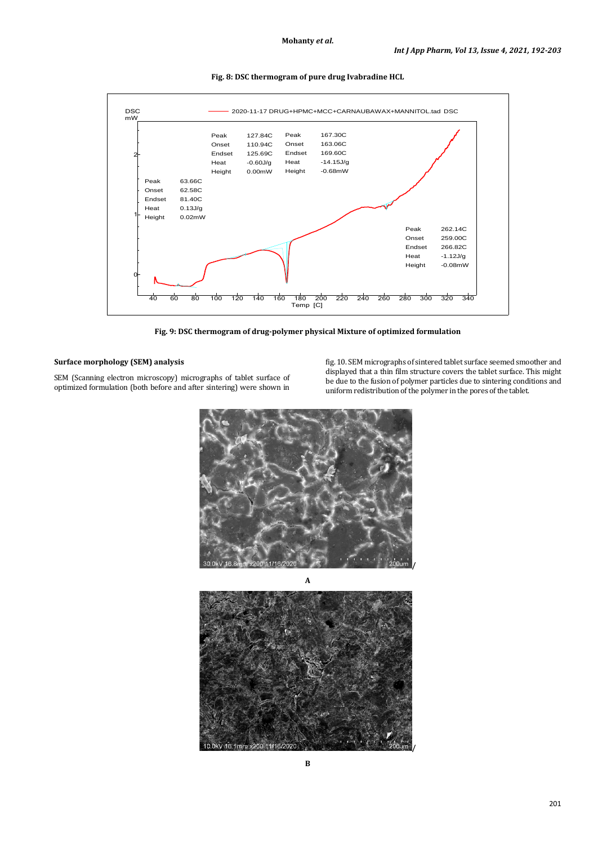

**Fig. 8: DSC thermogram of pure drug Ivabradine HCL**

**Fig. 9: DSC thermogram of drug-polymer physical Mixture of optimized formulation**

# **Surface morphology (SEM) analysis**

SEM (Scanning electron microscopy) micrographs of tablet surface of optimized formulation (both before and after sintering) were shown in fig. 10. SEM micrographs of sintered tablet surface seemed smoother and displayed that a thin film structure covers the tablet surface. This might be due to the fusion of polymer particles due to sintering conditions and uniform redistribution of the polymer in the pores of the tablet.



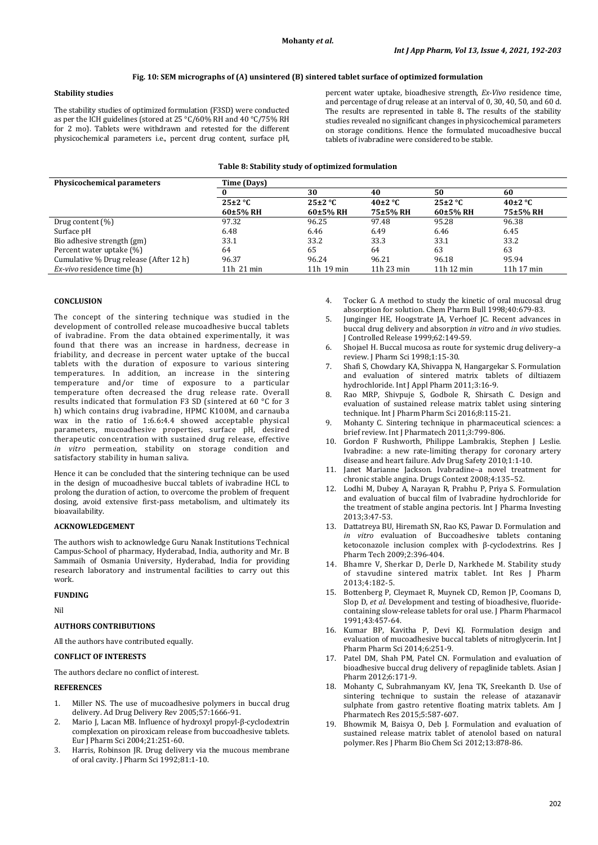# **Fig. 10: SEM micrographs of (A) unsintered (B) sintered tablet surface of optimized formulation**

# **Stability studies**

The stability studies of optimized formulation (F3SD) were conducted as per the ICH guidelines (stored at 25 °C/60% RH and 40 °C/75% RH for 2 mo). Tablets were withdrawn and retested for the different physicochemical parameters i.e., percent drug content, surface pH,

percent water uptake, bioadhesive strength, *Ex-Vivo* residence time, and percentage of drug release at an interval of 0, 30, 40, 50, and 60 d. The results are represented in table 8**.** The results of the stability studies revealed no significant changes in physicochemical parameters on storage conditions. Hence the formulated mucoadhesive buccal tablets of ivabradine were considered to be stable.

#### **Table 8: Stability study of optimized formulation**

| Physicochemical parameters             | Time (Days)  |              |             |             |               |
|----------------------------------------|--------------|--------------|-------------|-------------|---------------|
|                                        |              | 30           | 40          | 50          | 60            |
|                                        | $25\pm2$ °C  | $25\pm2$ °C  | $40\pm2$ °C | $25\pm2$ °C | 40 $\pm$ 2 °C |
|                                        | 60±5% RH     | 60±5% RH     | 75±5% RH    | $60±5%$ RH  | 75±5% RH      |
| Drug content $(\%)$                    | 97.32        | 96.25        | 97.48       | 95.28       | 96.38         |
| Surface pH                             | 6.48         | 6.46         | 6.49        | 6.46        | 6.45          |
| Bio adhesive strength (gm)             | 33.1         | 33.2         | 33.3        | 33.1        | 33.2          |
| Percent water uptake (%)               | 64           | 65           | 64          | 63          | 63            |
| Cumulative % Drug release (After 12 h) | 96.37        | 96.24        | 96.21       | 96.18       | 95.94         |
| <i>Ex-vivo</i> residence time (h)      | $11h$ 21 min | $11h$ 19 min | 11h 23 min  | 11h 12 min  | $11h$ 17 min  |

# **CONCLUSION**

The concept of the sintering technique was studied in the development of controlled release mucoadhesive buccal tablets of ivabradine. From the data obtained experimentally, it was found that there was an increase in hardness, decrease in friability, and decrease in percent water uptake of the buccal tablets with the duration of exposure to various sintering temperatures. In addition, an increase in the sintering temperature and/or time of exposure to a particular temperature often decreased the drug release rate. Overall results indicated that formulation F3 SD (sintered at 60 °C for 3 h) which contains drug ivabradine, HPMC K100M, and carnauba wax in the ratio of 1**:**6.6**:**4.4 showed acceptable physical parameters, mucoadhesive properties, surface pH, desired therapeutic concentration with sustained drug release, effective *in vitro* permeation, stability on storage condition and satisfactory stability in human saliva.

Hence it can be concluded that the sintering technique can be used in the design of mucoadhesive buccal tablets of ivabradine HCL to prolong the duration of action, to overcome the problem of frequent dosing, avoid extensive first-pass metabolism, and ultimately its bioavailability.

### **ACKNOWLEDGEMENT**

The authors wish to acknowledge Guru Nanak Institutions Technical Campus-School of pharmacy, Hyderabad, India, authority and Mr. B Sammaih of Osmania University, Hyderabad, India for providing research laboratory and instrumental facilities to carry out this work.

#### **FUNDING**

Nil

# **AUTHORS CONTRIBUTIONS**

All the authors have contributed equally.

# **CONFLICT OF INTERESTS**

The authors declare no conflict of interest.

# **REFERENCES**

- 1. Miller NS. The use of mucoadhesive polymers in buccal drug delivery. Ad Drug Delivery Rev 2005;57:1666-91.
- 2. Mario J, Lacan MB. Influence of hydroxyl propyl-β-cyclodextrin complexation on piroxicam release from buccoadhesive tablets. Eur J Pharm Sci 2004;21:251-60.
- 3. Harris, Robinson JR. Drug delivery via the mucous membrane of oral cavity. J Pharm Sci 1992;81:1-10.
- 4. Tocker G. A method to study the kinetic of oral mucosal drug absorption for solution. Chem Pharm Bull 1998;40:679-83.
- 5. Junginger HE, Hoogstrate JA, Verhoef JC. Recent advances in buccal drug delivery and absorption *in vitro* and *in vivo* studies. J Controlled Release 1999;62:149-59.
- 6. Shojael H. Buccal mucosa as route for systemic drug delivery–a review. J Pharm Sci 1998;1:15-30.
- 7. Shafi S, Chowdary KA, Shivappa N, Hangargekar S. Formulation and evaluation of sintered matrix tablets of diltiazem hydrochloride. Int J Appl Pharm 2011;3:16-9.
- 8. Rao MRP, Shivpuje S, Godbole R, Shirsath C. Design and evaluation of sustained release matrix tablet using sintering technique. Int J Pharm Pharm Sci 2016;8:115-21.
- 9. Mohanty C. Sintering technique in pharmaceutical sciences: a brief review. Int J Pharmatech 2011;3:799-806.
- 10. Gordon F Rushworth, Philippe Lambrakis, Stephen J Leslie. Ivabradine: a new rate-limiting therapy for coronary artery disease and heart failure. Adv Drug Safety 2010;1:1-10.
- 11. Janet Marianne Jackson. Ivabradine–a novel treatment for chronic stable angina. Drugs Context 2008;4:135–52.
- 12. Lodhi M, Dubey A, Narayan R, Prabhu P, Priya S. Formulation and evaluation of buccal film of Ivabradine hydrochloride for the treatment of stable angina pectoris. Int J Pharma Investing 2013;3:47-53.
- 13. Dattatreya BU, Hiremath SN, Rao KS, Pawar D. Formulation and *in vitro* evaluation of Buccoadhesive tablets contaning ketoconazole inclusion complex with β-cyclodextrins. Res J Pharm Tech 2009;2:396-404.
- 14. Bhamre V, Sherkar D, Derle D, Narkhede M. Stability study of stavudine sintered matrix tablet. Int Res J Pharm 2013;4:182-5.
- 15. Bottenberg P, Cleymaet R, Muynek CD, Remon JP, Coomans D, Slop D, *et al.* Development and testing of bioadhesive, fluoridecontaining slow-release tablets for oral use. J Pharm Pharmacol 1991;43:457-64.
- 16. Kumar BP, Kavitha P, Devi KJ. Formulation design and evaluation of mucoadhesive buccal tablets of nitroglycerin. Int J Pharm Pharm Sci 2014;6:251-9.
- 17. Patel DM, Shah PM, Patel CN. Formulation and evaluation of bioadhesive buccal drug delivery of repaglinide tablets. Asian J Pharm 2012;6:171-9.
- 18. Mohanty C, Subrahmanyam KV, Jena TK, Sreekanth D. Use of sintering technique to sustain the release of atazanavir sulphate from gastro retentive floating matrix tablets. Am J Pharmatech Res 2015;5:587-607.
- 19. Bhowmik M, Baisya O, Deb J. Formulation and evaluation of sustained release matrix tablet of atenolol based on natural polymer. Res J Pharm Bio Chem Sci 2012;13:878-86.